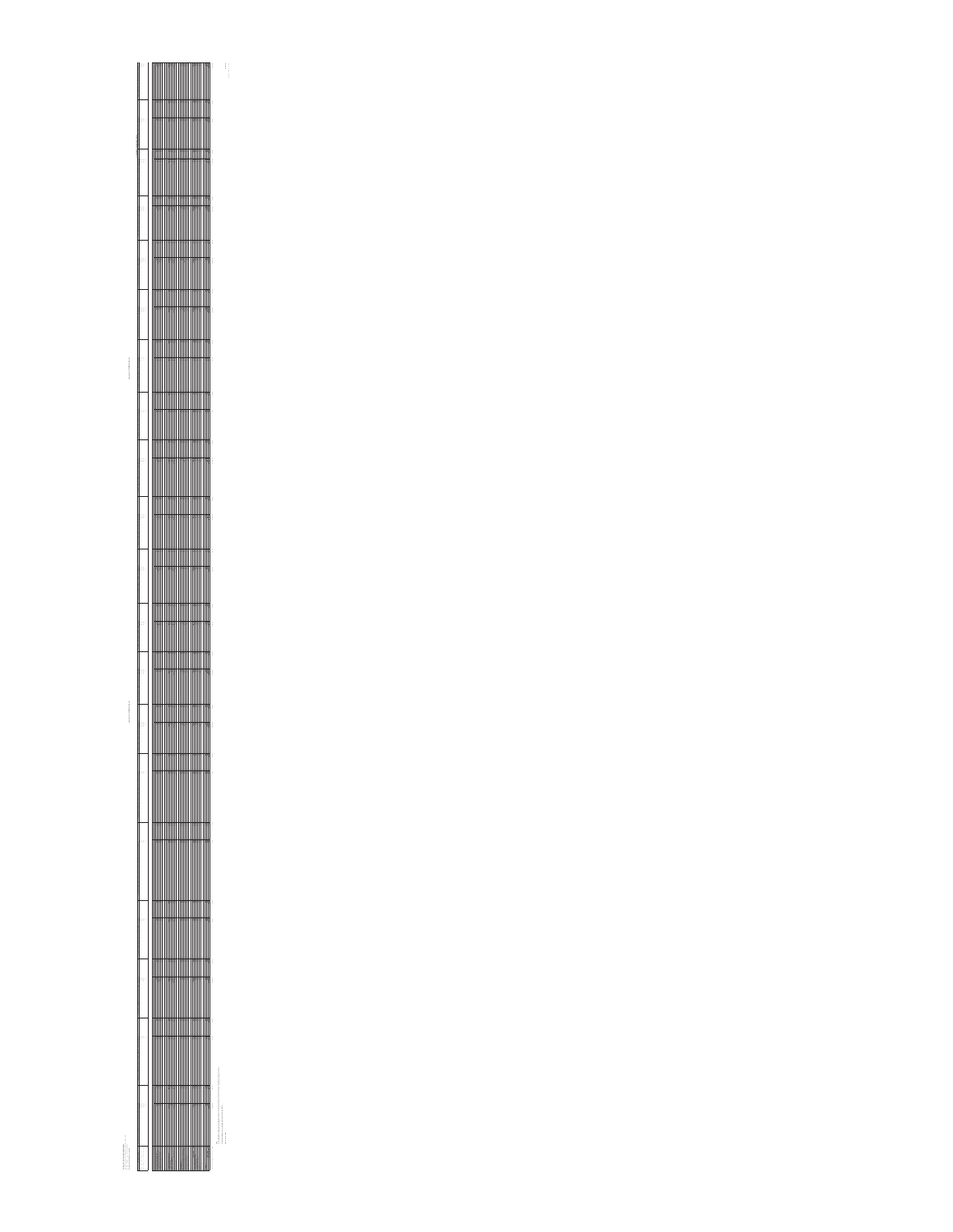

 $\frac{1}{2}$ 

**Fund Carried Forward (as per LB2) 15,977.58 100.00 22.79 100.00 21,759.25 100.00 103.23 100.00 0.00 0.00 0.55 100.00 33,580.89 100.00 19,062.54 100.00 4,548.04 100.00 6,816.11 100.00 21,137.51 100.00 16,575.28 100.00 7.60 100.00 71.12 100.00 65,678.42 100.00 37,026.87 100.00 37,143.42 100.00 1,439.07 100.00 828.24 100.00 1,560.57**